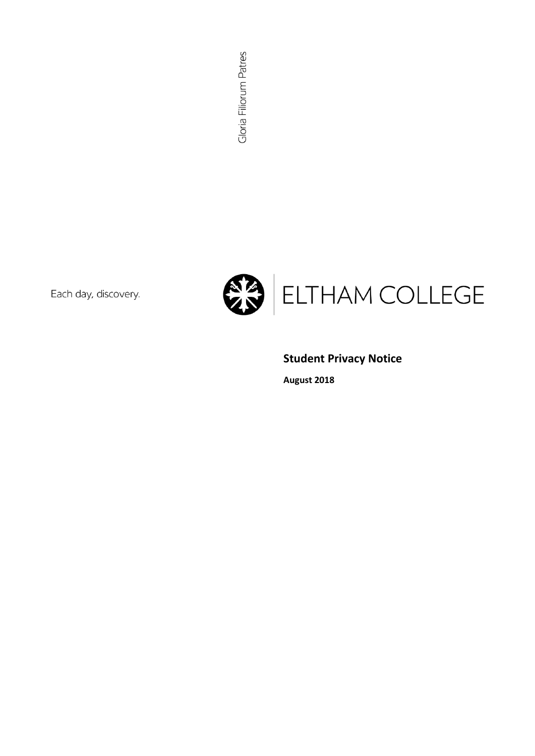Gloria Filiorum Patres

Each day, discovery.



# **Student Privacy Notice**

**August 2018**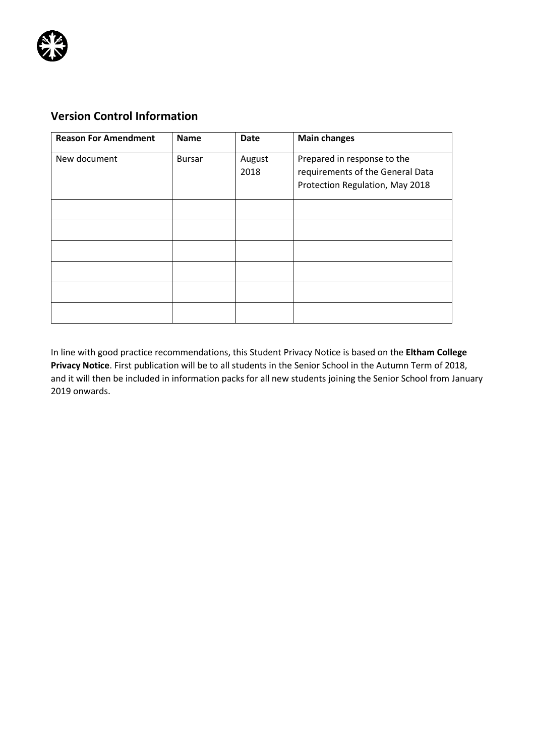

# **Version Control Information**

| <b>Reason For Amendment</b> | <b>Name</b>   | Date           | <b>Main changes</b>                                                                                |
|-----------------------------|---------------|----------------|----------------------------------------------------------------------------------------------------|
| New document                | <b>Bursar</b> | August<br>2018 | Prepared in response to the<br>requirements of the General Data<br>Protection Regulation, May 2018 |
|                             |               |                |                                                                                                    |
|                             |               |                |                                                                                                    |
|                             |               |                |                                                                                                    |
|                             |               |                |                                                                                                    |
|                             |               |                |                                                                                                    |
|                             |               |                |                                                                                                    |

In line with good practice recommendations, this Student Privacy Notice is based on the **Eltham College Privacy Notice**. First publication will be to all students in the Senior School in the Autumn Term of 2018, and it will then be included in information packs for all new students joining the Senior School from January 2019 onwards.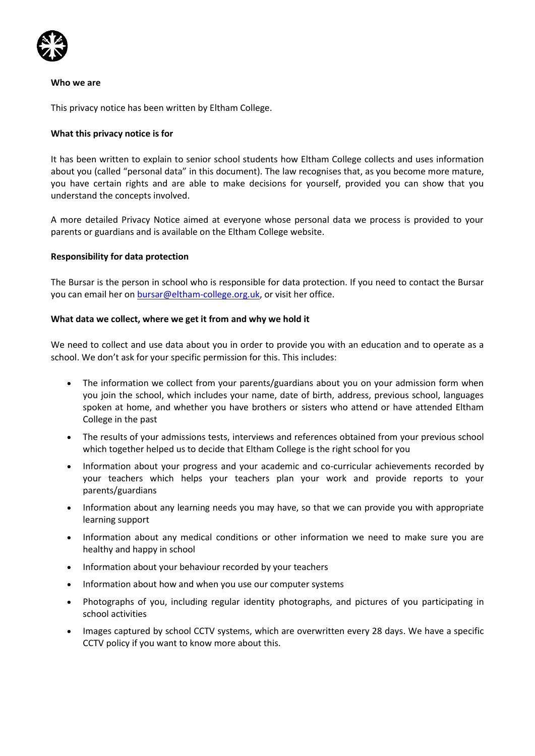

#### **Who we are**

This privacy notice has been written by Eltham College.

#### **What this privacy notice is for**

It has been written to explain to senior school students how Eltham College collects and uses information about you (called "personal data" in this document). The law recognises that, as you become more mature, you have certain rights and are able to make decisions for yourself, provided you can show that you understand the concepts involved.

A more detailed Privacy Notice aimed at everyone whose personal data we process is provided to your parents or guardians and is available on the Eltham College website.

#### **Responsibility for data protection**

The Bursar is the person in school who is responsible for data protection. If you need to contact the Bursar you can email her o[n bursar@eltham-college.org.uk,](mailto:bursar@eltham-college.org.uk) or visit her office.

#### **What data we collect, where we get it from and why we hold it**

We need to collect and use data about you in order to provide you with an education and to operate as a school. We don't ask for your specific permission for this. This includes:

- The information we collect from your parents/guardians about you on your admission form when you join the school, which includes your name, date of birth, address, previous school, languages spoken at home, and whether you have brothers or sisters who attend or have attended Eltham College in the past
- The results of your admissions tests, interviews and references obtained from your previous school which together helped us to decide that Eltham College is the right school for you
- Information about your progress and your academic and co-curricular achievements recorded by your teachers which helps your teachers plan your work and provide reports to your parents/guardians
- Information about any learning needs you may have, so that we can provide you with appropriate learning support
- Information about any medical conditions or other information we need to make sure you are healthy and happy in school
- Information about your behaviour recorded by your teachers
- Information about how and when you use our computer systems
- Photographs of you, including regular identity photographs, and pictures of you participating in school activities
- Images captured by school CCTV systems, which are overwritten every 28 days. We have a specific CCTV policy if you want to know more about this.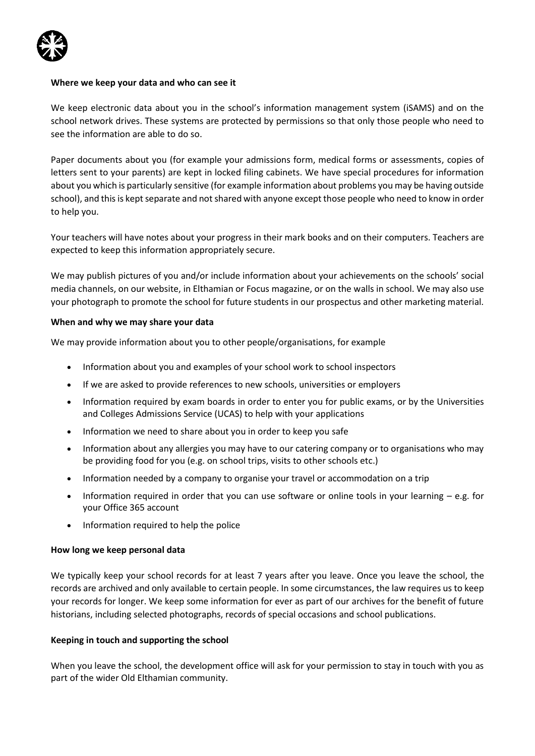#### **Where we keep your data and who can see it**

We keep electronic data about you in the school's information management system (iSAMS) and on the school network drives. These systems are protected by permissions so that only those people who need to see the information are able to do so.

Paper documents about you (for example your admissions form, medical forms or assessments, copies of letters sent to your parents) are kept in locked filing cabinets. We have special procedures for information about you which is particularly sensitive (for example information about problems you may be having outside school), and this is kept separate and not shared with anyone except those people who need to know in order to help you.

Your teachers will have notes about your progress in their mark books and on their computers. Teachers are expected to keep this information appropriately secure.

We may publish pictures of you and/or include information about your achievements on the schools' social media channels, on our website, in Elthamian or Focus magazine, or on the walls in school. We may also use your photograph to promote the school for future students in our prospectus and other marketing material.

#### **When and why we may share your data**

We may provide information about you to other people/organisations, for example

- Information about you and examples of your school work to school inspectors
- If we are asked to provide references to new schools, universities or employers
- Information required by exam boards in order to enter you for public exams, or by the Universities and Colleges Admissions Service (UCAS) to help with your applications
- Information we need to share about you in order to keep you safe
- Information about any allergies you may have to our catering company or to organisations who may be providing food for you (e.g. on school trips, visits to other schools etc.)
- Information needed by a company to organise your travel or accommodation on a trip
- Information required in order that you can use software or online tools in your learning e.g. for your Office 365 account
- Information required to help the police

#### **How long we keep personal data**

We typically keep your school records for at least 7 years after you leave. Once you leave the school, the records are archived and only available to certain people. In some circumstances, the law requires us to keep your records for longer. We keep some information for ever as part of our archives for the benefit of future historians, including selected photographs, records of special occasions and school publications.

#### **Keeping in touch and supporting the school**

When you leave the school, the development office will ask for your permission to stay in touch with you as part of the wider Old Elthamian community.